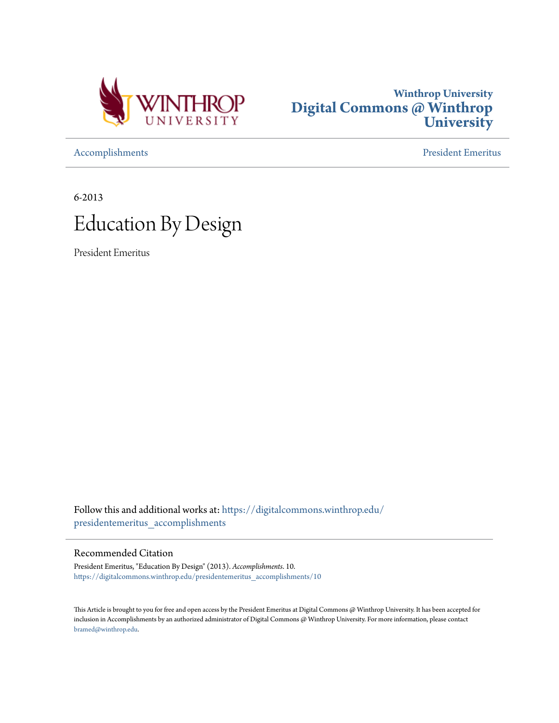



[Accomplishments](https://digitalcommons.winthrop.edu/presidentemeritus_accomplishments?utm_source=digitalcommons.winthrop.edu%2Fpresidentemeritus_accomplishments%2F10&utm_medium=PDF&utm_campaign=PDFCoverPages) [President Emeritus](https://digitalcommons.winthrop.edu/presidentemeritus?utm_source=digitalcommons.winthrop.edu%2Fpresidentemeritus_accomplishments%2F10&utm_medium=PDF&utm_campaign=PDFCoverPages)

6-2013 Education By Design

President Emeritus

Follow this and additional works at: [https://digitalcommons.winthrop.edu/](https://digitalcommons.winthrop.edu/presidentemeritus_accomplishments?utm_source=digitalcommons.winthrop.edu%2Fpresidentemeritus_accomplishments%2F10&utm_medium=PDF&utm_campaign=PDFCoverPages) [presidentemeritus\\_accomplishments](https://digitalcommons.winthrop.edu/presidentemeritus_accomplishments?utm_source=digitalcommons.winthrop.edu%2Fpresidentemeritus_accomplishments%2F10&utm_medium=PDF&utm_campaign=PDFCoverPages)

#### Recommended Citation

President Emeritus, "Education By Design" (2013). *Accomplishments*. 10. [https://digitalcommons.winthrop.edu/presidentemeritus\\_accomplishments/10](https://digitalcommons.winthrop.edu/presidentemeritus_accomplishments/10?utm_source=digitalcommons.winthrop.edu%2Fpresidentemeritus_accomplishments%2F10&utm_medium=PDF&utm_campaign=PDFCoverPages)

This Article is brought to you for free and open access by the President Emeritus at Digital Commons @ Winthrop University. It has been accepted for inclusion in Accomplishments by an authorized administrator of Digital Commons @ Winthrop University. For more information, please contact [bramed@winthrop.edu.](mailto:bramed@winthrop.edu)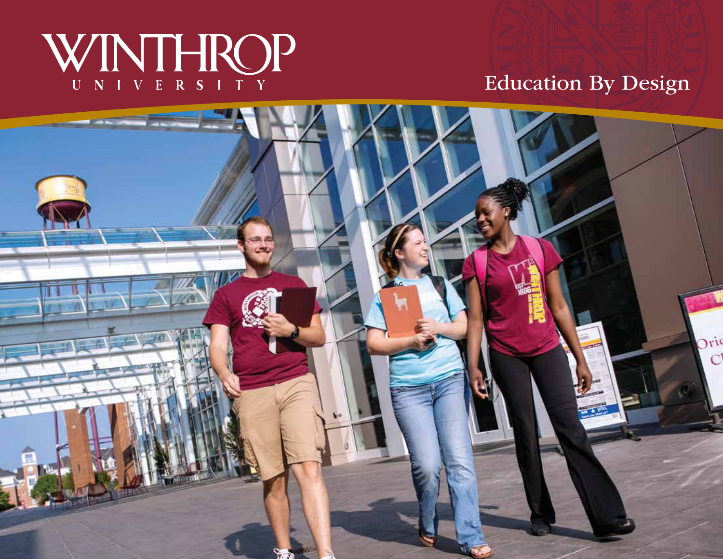# WINTHROP

## Education By Design

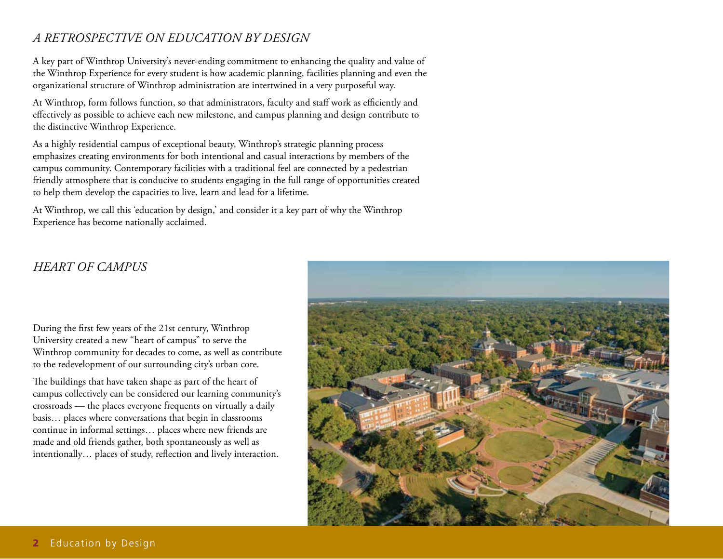#### *A retrospective on Education by design*

A key part of Winthrop University's never-ending commitment to enhancing the quality and value of the Winthrop Experience for every student is how academic planning, facilities planning and even the organizational structure of Winthrop administration are intertwined in a very purposeful way.

At Winthrop, form follows function, so that administrators, faculty and staff work as efficiently and effectively as possible to achieve each new milestone, and campus planning and design contribute to the distinctive Winthrop Experience.

As a highly residential campus of exceptional beauty, Winthrop's strategic planning process emphasizes creating environments for both intentional and casual interactions by members of the campus community. Contemporary facilities with a traditional feel are connected by a pedestrian friendly atmosphere that is conducive to students engaging in the full range of opportunities created to help them develop the capacities to live, learn and lead for a lifetime.

At Winthrop, we call this 'education by design,' and consider it a key part of why the Winthrop Experience has become nationally acclaimed.

### *Heart of Campus*

During the first few years of the 21st century, Winthrop University created a new "heart of campus" to serve the Winthrop community for decades to come, as well as contribute to the redevelopment of our surrounding city's urban core.

The buildings that have taken shape as part of the heart of campus collectively can be considered our learning community's crossroads — the places everyone frequents on virtually a daily basis… places where conversations that begin in classrooms continue in informal settings… places where new friends are made and old friends gather, both spontaneously as well as intentionally… places of study, reflection and lively interaction.

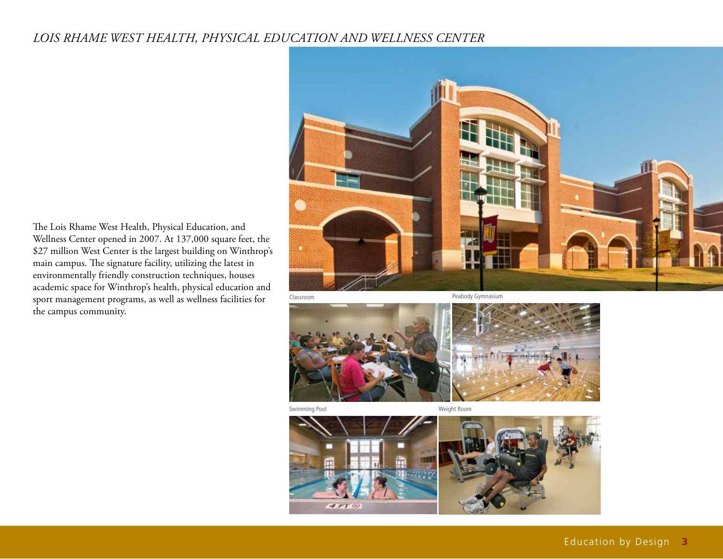#### *Lois Rhame West Health, Physical Education and wellness Center*

The Lois Rhame West Health, Physical Education, and Wellness Center opened in 2007. At 137,000 square feet, the \$27 million West Center is the largest building on Winthrop's main campus. The signature facility, utilizing the latest in environmentally friendly construction techniques, houses academic space for Winthrop's health, physical education and sport management programs, as well as wellness facilities for the campus community.





Swimming Pool and The Communist Weight Room

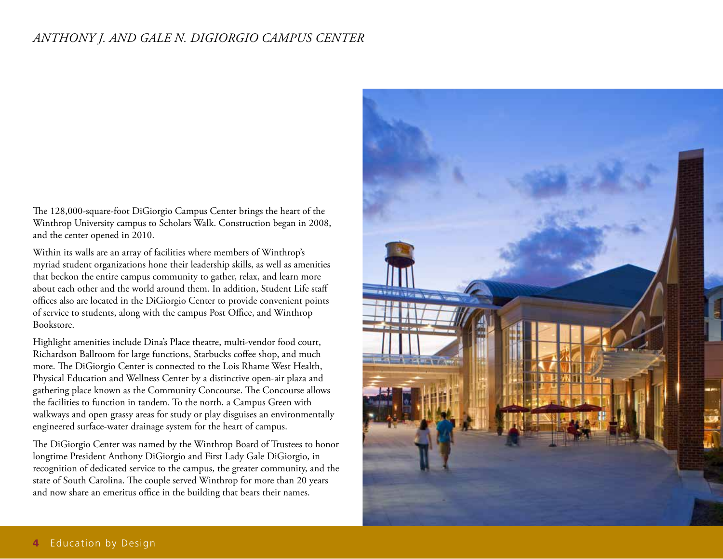#### *Anthony J. and Gale N. DiGiorgio Campus Center*

The 128,000-square-foot DiGiorgio Campus Center brings the heart of the Winthrop University campus to Scholars Walk. Construction began in 2008, and the center opened in 2010.

Within its walls are an array of facilities where members of Winthrop's myriad student organizations hone their leadership skills, as well as amenities that beckon the entire campus community to gather, relax, and learn more about each other and the world around them. In addition, Student Life staff offices also are located in the DiGiorgio Center to provide convenient points of service to students, along with the campus Post Office, and Winthrop Bookstore.

Highlight amenities include Dina's Place theatre, multi-vendor food court, Richardson Ballroom for large functions, Starbucks coffee shop, and much more. The DiGiorgio Center is connected to the Lois Rhame West Health, Physical Education and Wellness Center by a distinctive open-air plaza and gathering place known as the Community Concourse. The Concourse allows the facilities to function in tandem. To the north, a Campus Green with walkways and open grassy areas for study or play disguises an environmentally engineered surface-water drainage system for the heart of campus.

The DiGiorgio Center was named by the Winthrop Board of Trustees to honor longtime President Anthony DiGiorgio and First Lady Gale DiGiorgio, in recognition of dedicated service to the campus, the greater community, and the state of South Carolina. The couple served Winthrop for more than 20 years and now share an emeritus office in the building that bears their names.

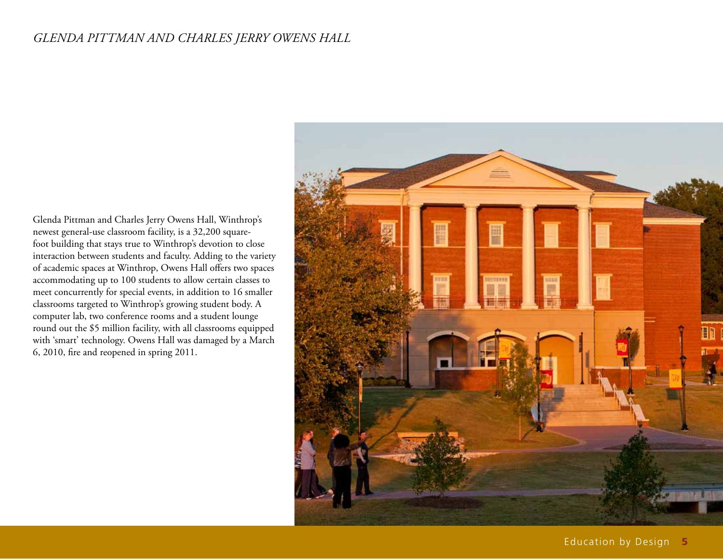#### *Glenda Pittman and Charles Jerry Owens Hall*

Glenda Pittman and Charles Jerry Owens Hall, Winthrop's newest general-use classroom facility, is a 32,200 squarefoot building that stays true to Winthrop's devotion to close interaction between students and faculty. Adding to the variety of academic spaces at Winthrop, Owens Hall offers two spaces accommodating up to 100 students to allow certain classes to meet concurrently for special events, in addition to 16 smaller classrooms targeted to Winthrop's growing student body. A computer lab, two conference rooms and a student lounge round out the \$5 million facility, with all classrooms equipped with 'smart' technology. Owens Hall was damaged by a March 6, 2010, fire and reopened in spring 2011.

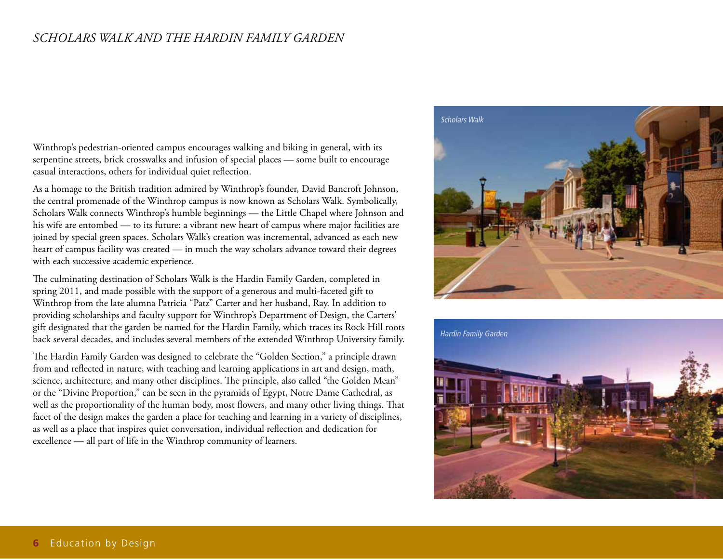#### *Scholars Walk and The Hardin Family Garden*

Winthrop's pedestrian-oriented campus encourages walking and biking in general, with its serpentine streets, brick crosswalks and infusion of special places — some built to encourage casual interactions, others for individual quiet reflection.

As a homage to the British tradition admired by Winthrop's founder, David Bancroft Johnson, the central promenade of the Winthrop campus is now known as Scholars Walk. Symbolically, Scholars Walk connects Winthrop's humble beginnings — the Little Chapel where Johnson and his wife are entombed — to its future: a vibrant new heart of campus where major facilities are joined by special green spaces. Scholars Walk's creation was incremental, advanced as each new heart of campus facility was created — in much the way scholars advance toward their degrees with each successive academic experience.

The culminating destination of Scholars Walk is the Hardin Family Garden, completed in spring 2011, and made possible with the support of a generous and multi-faceted gift to Winthrop from the late alumna Patricia "Patz" Carter and her husband, Ray. In addition to providing scholarships and faculty support for Winthrop's Department of Design, the Carters' gift designated that the garden be named for the Hardin Family, which traces its Rock Hill roots back several decades, and includes several members of the extended Winthrop University family.

The Hardin Family Garden was designed to celebrate the "Golden Section," a principle drawn from and reflected in nature, with teaching and learning applications in art and design, math, science, architecture, and many other disciplines. The principle, also called "the Golden Mean" or the "Divine Proportion," can be seen in the pyramids of Egypt, Notre Dame Cathedral, as well as the proportionality of the human body, most flowers, and many other living things. That facet of the design makes the garden a place for teaching and learning in a variety of disciplines, as well as a place that inspires quiet conversation, individual reflection and dedication for excellence — all part of life in the Winthrop community of learners.



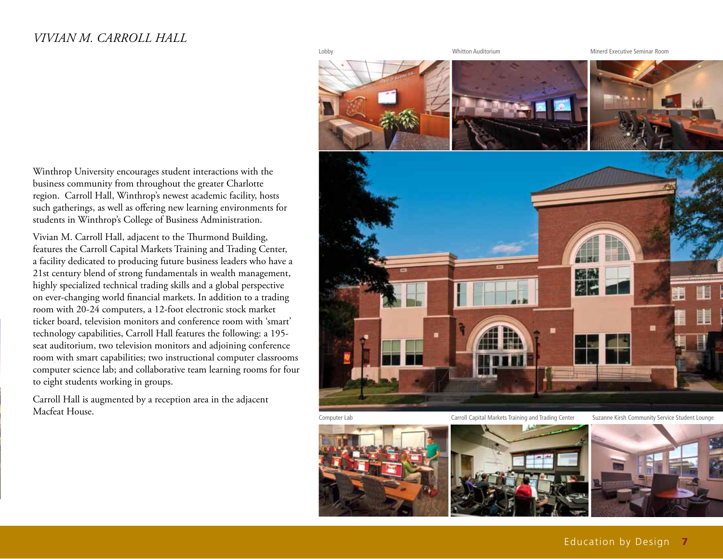#### *Vivian M. Carroll Hall*



Computer Lab

Suzanne Kirsh Community Service Student Lounge





Winthrop University encourages student interactions with the business community from throughout the greater Charlotte region. Carroll Hall, Winthrop's newest academic facility, hosts such gatherings, as well as offering new learning environments for students in Winthrop's College of Business Administration.

Vivian M. Carroll Hall, adjacent to the Thurmond Building, features the Carroll Capital Markets Training and Trading Center, a facility dedicated to producing future business leaders who have a 21st century blend of strong fundamentals in wealth management, highly specialized technical trading skills and a global perspective on ever-changing world financial markets. In addition to a trading room with 20-24 computers, a 12-foot electronic stock market ticker board, television monitors and conference room with 'smart' technology capabilities, Carroll Hall features the following: a 195 seat auditorium, two television monitors and adjoining conference room with smart capabilities; two instructional computer classrooms computer science lab; and collaborative team learning rooms for four to eight students working in groups.

Carroll Hall is augmented by a reception area in the adjacent Macfeat House.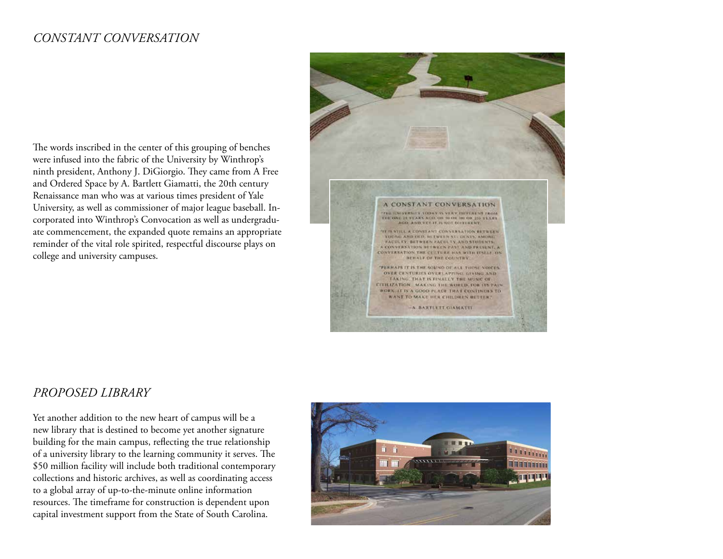#### *constant conversation*

The words inscribed in the center of this grouping of benches were infused into the fabric of the University by Winthrop's ninth president, Anthony J. DiGiorgio. They came from A Free and Ordered Space by A. Bartlett Giamatti, the 20th century Renaissance man who was at various times president of Yale University, as well as commissioner of major league baseball. Incorporated into Winthrop's Convocation as well as undergraduate commencement, the expanded quote remains an appropriate reminder of the vital role spirited, respectful discourse plays on college and university campuses.



#### *Proposed Library*

Yet another addition to the new heart of campus will be a new library that is destined to become yet another signature building for the main campus, reflecting the true relationship of a university library to the learning community it serves. The \$50 million facility will include both traditional contemporary collections and historic archives, as well as coordinating access to a global array of up-to-the-minute online information resources. The timeframe for construction is dependent upon capital investment support from the State of South Carolina.

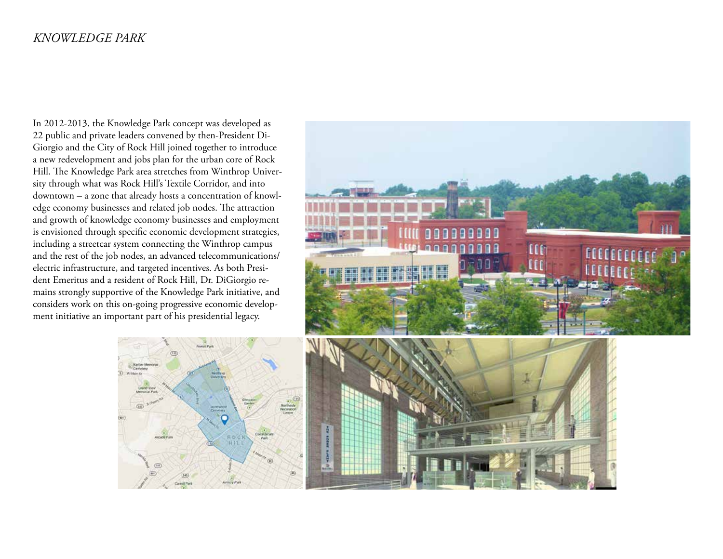#### *Knowledge park*

In 2012-2013, the Knowledge Park concept was developed as 22 public and private leaders convened by then-President Di-Giorgio and the City of Rock Hill joined together to introduce a new redevelopment and jobs plan for the urban core of Rock Hill. The Knowledge Park area stretches from Winthrop University through what was Rock Hill's Textile Corridor, and into downtown – a zone that already hosts a concentration of knowledge economy businesses and related job nodes. The attraction and growth of knowledge economy businesses and employment is envisioned through specific economic development strategies, including a streetcar system connecting the Winthrop campus and the rest of the job nodes, an advanced telecommunications/ electric infrastructure, and targeted incentives. As both President Emeritus and a resident of Rock Hill, Dr. DiGiorgio remains strongly supportive of the Knowledge Park initiative, and considers work on this on-going progressive economic development initiative an important part of his presidential legacy.